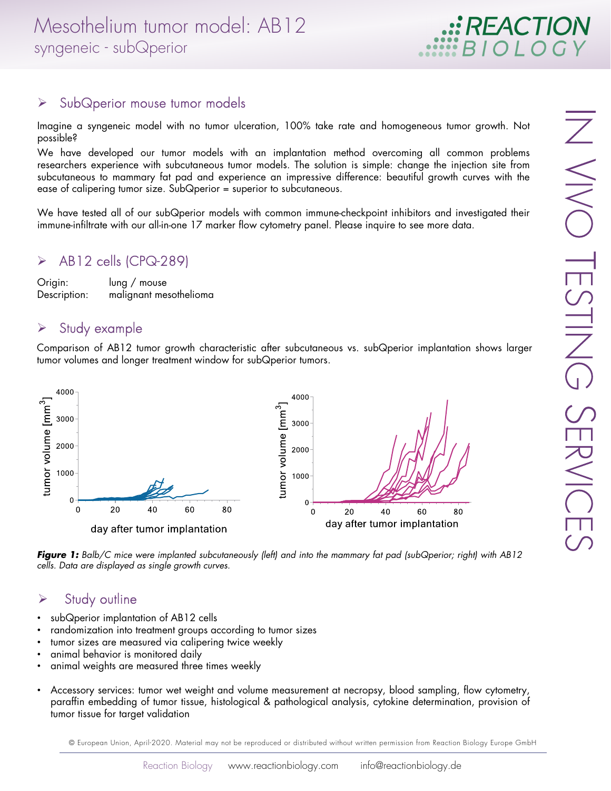# **REACTION**

## $\triangleright$  SubQperior mouse tumor models

Imagine a syngeneic model with no tumor ulceration, 100% take rate and homogeneous tumor growth. Not possible?

We have developed our tumor models with an implantation method overcoming all common problems researchers experience with subcutaneous tumor models. The solution is simple: change the injection site from subcutaneous to mammary fat pad and experience an impressive difference: beautiful growth curves with the ease of calipering tumor size. SubQperior = superior to subcutaneous.

We have tested all of our subQperior models with common immune-checkpoint inhibitors and investigated their immune-infiltrate with our all-in-one 17 marker flow cytometry panel. Please inquire to see more data.

## $\triangleright$  AB12 cells (CPQ-289)

| Origin:      | $\log /$ mouse         |
|--------------|------------------------|
| Description: | malignant mesothelioma |

## $\triangleright$  Study example

Comparison of AB12 tumor growth characteristic after subcutaneous vs. subQperior implantation shows larger tumor volumes and longer treatment window for subQperior tumors.



**Figure 1:** Balb/C mice were implanted subcutaneously (left) and into the mammary fat pad (subQperior; right) with AB12 cells. Data are displayed as single growth curves.

## $\triangleright$  Study outline

- subQperior implantation of AB12 cells
- randomization into treatment groups according to tumor sizes
- tumor sizes are measured via calipering twice weekly
- animal behavior is monitored daily
- animal weights are measured three times weekly
- Accessory services: tumor wet weight and volume measurement at necropsy, blood sampling, flow cytometry, paraffin embedding of tumor tissue, histological & pathological analysis, cytokine determination, provision of tumor tissue for target validation

© European Union, April-2020. Material may not be reproduced or distributed without written permission from Reaction Biology Europe GmbH